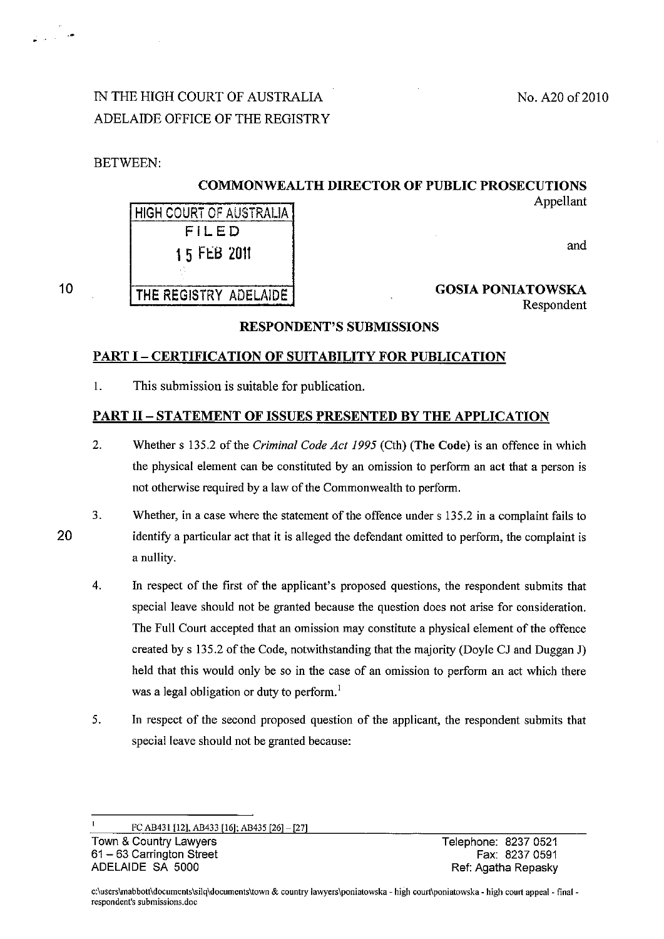# IN THE HIGH COURT OF AUSTRALIA ADELAIDE OFFICE OF THE REGISTRY

**HIGH COURT OF AUSTRALIA** FILED

1 5 FtB 2011

THE REGISTRY ADELAIDE

BETWEEN:

### COMMONWEALTH DIRECTOR OF PUBLIC PROSECUTIONS Appellant

and

### 10

### GOSIA PONIATOWSKA Respondent

### RESPONDENT'S SUBMISSIONS

### PART I - CERTIFICATION OF SUITABILITY FOR PUBLICATION

1. This submission is suitable for publication.

### PART II - STATEMENT OF ISSUES PRESENTED BY THE APPLICATION

2. Whether s 135.2 of the *Criminal Code Act* 1995 (Cth) (The Code) is an offence in which the physical element can be constituted by an omission to perform an act that a person is not otherwise required by a law of the Commonwealth to perform.

20

- 3. Whether, in a case where the statement of the offence under s 135.2 in a complaint fails to identity a particular act that it is alleged the defendant omitted to perform, the complaint is a nullity.
- 4. In respect of the first of the applicant's proposed questions, the respondent submits that special leave should not be granted because the question does not arise for consideration. The Full Court accepted that an omission may constitute a physical element of the offence created by s 135.2 of the Code, notwithstanding that the majority (Doyle CJ and Duggan J) held that this would only be so in the case of an omission to perform an act which there was a legal obligation or duty to perform.<sup>1</sup>
- 5. In respect of the second proposed question of the applicant, the respondent submits that special leave should not be granted because:

Fe AB431 [12], AB433 [16]; AB435 [26]- [27]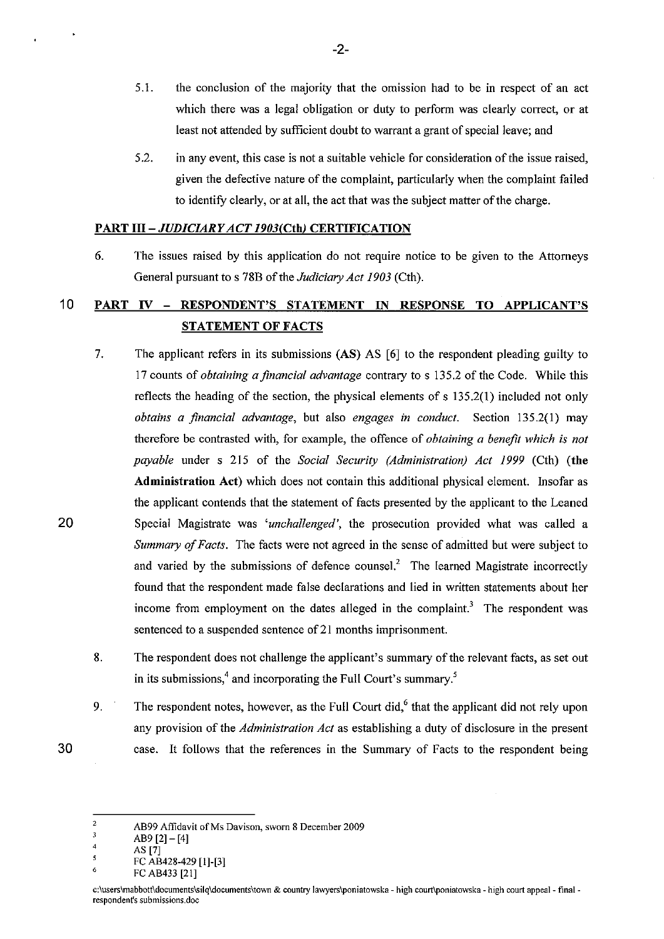- 5.1. the conclusion of the majority that the omission had to be in respect of an act which there was a legal obligation or duty to perform was clearly correct, or at least not attended by sufficient doubt to warrant a grant of special leave; and
- 5.2. in any event, this case is not a suitable vehicle for consideration of the issue raised, given the defective nature of the complaint, particularly when the complaint failed to identifY clearly, or at all, the act that was the subject matter of the charge.

### *PARTIII-JUDICL4RY ACT 1903(Cth)* CERTIFICATION

6. The issues raised by this application do not require notice to be given to the Attorneys General pursuant to s 78B of the *Judiciary Act 1903* (Cth).

## 10 PART IV - RESPONDENT'S STATEMENT IN RESPONSE TO APPLICANT'S STATEMENT OF FACTS

- 7. The applicant refers in its submissions (AS) AS [6] to the respondent pleading guilty to 17 counts of *obtaining a financial advantage* contrary to s 135.2 of the Code. While this reflects the heading of the section, the physical elements of s 135.2(1) included not only *obtains a financial advantage,* but also *engages in conduct.* Section 135.2(1) may therefore be contrasted with, for example, the offence of *obtaining a benefit which is not payable* under s 215 of the *Social Security (Administration) Act* 1999 (Cth) (the Administration Act) which does not contain this additional physical element. Insofar as the applicant contends that the statement of facts presented by the applicant to the Leaned Special Magistrate was 'unchallenged', the prosecution provided what was called a *Summary of Facts.* The facts were not agreed in the sense of admitted but were subject to and varied by the submissions of defence counsel.<sup>2</sup> The learned Magistrate incorrectly found that the respondent made false declarations and lied in written statements about her income from employment on the dates alleged in the complaint.<sup>3</sup> The respondent was sentenced to a suspended sentence of 21 months imprisonment.
- 8. The respondent does not challenge the applicant's summary of the relevant facts, as set out in its submissions,<sup>4</sup> and incorporating the Full Court's summary.<sup>5</sup>
- 9. The respondent notes, however, as the Full Court did, $<sup>6</sup>$  that the applicant did not rely upon</sup> any provision of the *Administration Act* as establishing a duty of disclosure in the present case. It follows that the references in the Summary of Facts to the respondent being

20

30

-2-

<sup>2</sup>  AB99 Affidavit of Ms Davison, sworn 8 December 2009

 $\overline{3}$ AB9 $[2] - [4]$ 

<sup>4</sup>  AS [7]

 $\overline{\mathbf{s}}$ FC AB428-429 [1]-[3]

<sup>6</sup>  FC AB433 [21]

c:\users\mabbott\documents\silq\documents\town & country lawyers\poniatowska - high court\poniatowska - high court appeal - final respondent's submissions.doe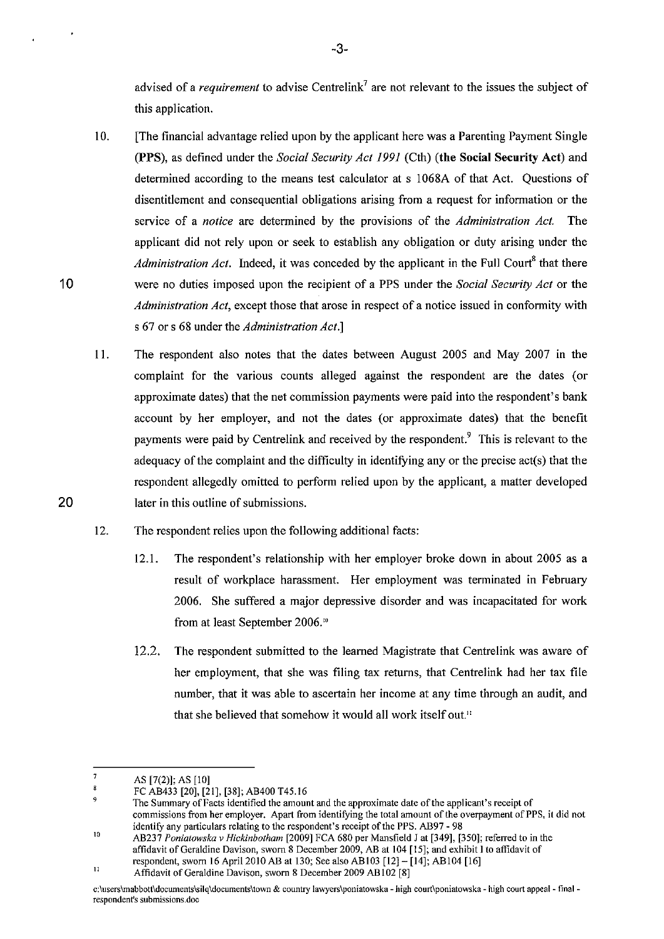advised of a *requirement* to advise Centrelink<sup>7</sup> are not relevant to the issues the subject of this application.

-3-

- 10. [The financial advantage relied upon by the applicant here was a Parenting Payment Single (PPS), as defined under the *Social Security Act* 1991 (Cth) (the Social Security Act) and determined according to the means test calculator at s 1068A of that Act. Questions of disentitlement and consequential obligations arising from a request for information or the service of a *notice* are determined by the provisions of the *Administration Act.* The applicant did not rely upon or seek to establish any obligation or duty arising under the *Administration Act.* Indeed, it was conceded by the applicant in the Full Court<sup>8</sup> that there were no duties imposed upon the recipient of a PPS under the *Social Security Act* or the *Administration Act,* except those that arose in respect of a notice issued in conformity with s 67 or s 68 under the *Administration Act.]*
- 11. The respondent also notes that the dates between August 2005 and May 2007 in the complaint for the various counts alleged against the respondent are the dates (or approximate dates) that the net commission payments were paid into the respondent's bank account by her employer, and not the dates (or approximate dates) that the benefit payments were paid by Centrelink and received by the respondent.<sup>9</sup> This is relevant to the adequacy of the complaint and the difficulty in identifying any or the precise  $act(s)$  that the respondent allegedly omitted to perform relied upon by the applicant, a matter developed later in this outline of submissions.
- 12. The respondent relies upon the following additional facts:
	- 12.1. The respondent's relationship with her employer broke down in about 2005 as a result of workplace harassment. Her employment was terminated in February 2006. She suffered a major depressive disorder and was incapacitated for work from at least September 2006.'"
	- 12.2. The respondent submitted to the learned Magistrate that Centrelink was aware of her employment, that she was filing tax returns, that Centrelink had her tax file number, that it was able to ascertain her income at any time through an audit, and that she believed that somehow it would all work itself out."

20

<sup>7</sup>  AS [7(2)]; AS [10]

 $\overline{\mathbf{3}}$ FC AB433 *[20],* [21], [38]; AB400 T45.16

<sup>9</sup>  \0 **The Summary** of Facts **identified the amount and the approximate date** of the **applicant's receipt of commissions from her employer. Apart from identifYing the total amount** of the **overpayment** of PPS, **it did not identify any particulars relating to the respondent's receipt** of the **PPS. AB97 - 98** 

AB237 *Poniatowska v Hickinbotham [2009]* FCA *680* per Mansfield J at [349], [350]; referred to in the **affidavit** of Geraldine **Davison, sworn 8 December 2009, AB at 104 [15]; and exhibit I to affidavit of**  respondent, sworn 16 Apri12010 AB at 130; See also ABI03 [12]- [14]; ABI04 [16]

II Affidavit of Geraldine Davison, sworn 8 December 2009 AB102 [8]

c;\users\mabbott\documents\silq\documents\town & country lawyers\poniatowska - high court\poniatowska - high court appeal - final **respondent's submissions.doe**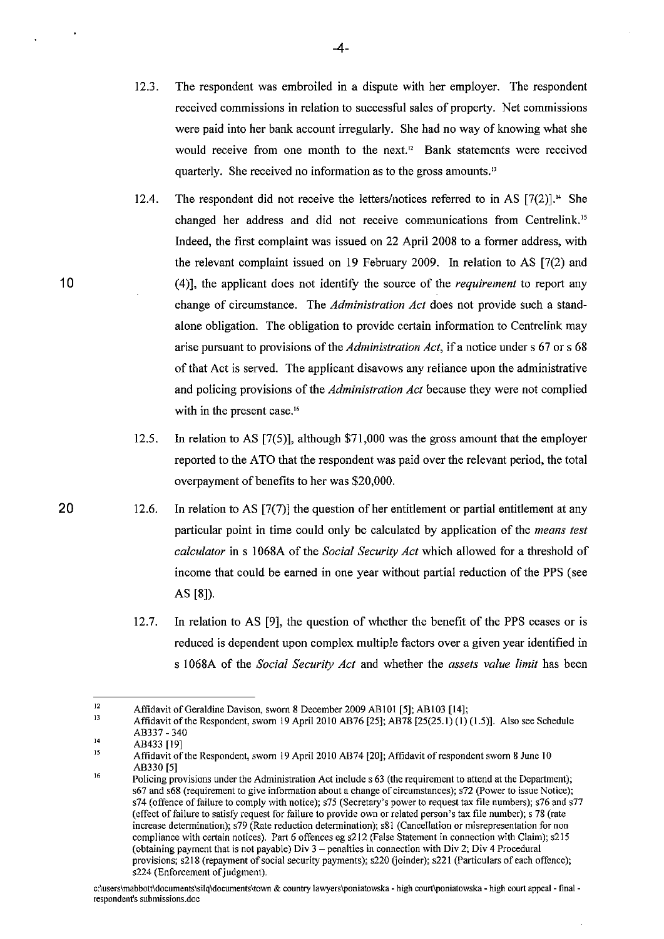- 12.3. The respondent was embroiled in a dispute with her employer. The respondent received commissions in relation to successful sales of property. Net commissions were paid into her bank account irregularly. She had no way of knowing what she would receive from one month to the next." Bank statements were received quarterly. She received no information as to the gross amounts."
- 12.4. The respondent did not receive the letters/notices referred to in AS  $[7(2)]$ .<sup>14</sup> She changed her address and did not receive communications from Centrelink.15 Indeed, the first complaint was issued on 22 April 2008 to a former address, with the relevant complaint issued on 19 February 2009. In relation to AS [7(2) and (4)], the applicant does not identify the source of the *requirement* to report any change of circumstance. The *Administration Act* does not provide such a standalone obligation. The obligation to provide certain information to Centrelink may arise pursuant to provisions of the *Administration Act,* if a notice under s 67 or s 68 of that Act is served. The applicant disavows any reliance upon the administrative and policing provisions of the *Administration Act* because they were not complied with in the present case.<sup>16</sup>
- 12.5. In relation to AS [7(5)], although \$71,000 was the gross amount that the employer reported to the ATO that the respondent was paid over the relevant period, the total overpayment of benefits to her was \$20,000.
- 12.6. In relation to AS [7(7)] the question of her entitlement or partial entitlement at any particular point in time could only be calculated by application of the *means test calculator* in s 1068A of the *Social Security Act* which allowed for a threshold of income that could be earned in one year without partial reduction of the PPS (see AS [8]).
	- 12.7. In relation to AS [9], the question of whether the benefit of the PPS ceases or is reduced is dependent upon complex mUltiple factors over a given year identified in s 1068A of the *Social Security Act* and whether the *assets value limit* has been

-4-

20

<sup>12</sup>  Affidavit of Geraldine Davison, sworn 8 December 2009 ABIOI [5]; AB 103 [14];

<sup>13</sup>  Affidavit ofthe Respondent, sworn 19 April 2010 AB76 [25]; AB78 [25(25.1) (I) (1.5)]. Also see Schedule AB337 - 340

<sup>14</sup>  AB433 [19]

IS 16 Affidavit of the Respondent, sworn 19 April 2010 AB74 [20]; Affidavit of respondent sworn 8 June 10 AB330 [5]

**Policing provisions under the Administration Act include s 63 (the requirement to attend at the Department); 567 and 568 (requirement to give information about a change** of circumstances); **572 (Power to issue Notice); 574 (offence** of failure **to comply with notice); 575 (Secretary's power to request tax file numbers); 576 and 577**  (effect of failure to satisfy request for failure to provide own or related person's tax file number); s 78 (rate **increase determination); 579 (Rate reduction determination); 581 (Cancellation or misrepresentation for non compliance with certain notices). Part 6 offences eg s212 (False Statement in connection with Claim); s215 (obtaining payment that is not payable) Div 3 - penalties in connection with Div 2; Div 4 Procedural**  provisions; s218 (repayment of social security payments); s220 (joinder); s221 (Particulars of each offence); s224 (Enforcement of judgment).

**c:\users\mabbott\doeuments\silq\documents\town & country lawyers\poniatowska - high eourt\poniatowska - high court appeal - final respondent's submissions.doe**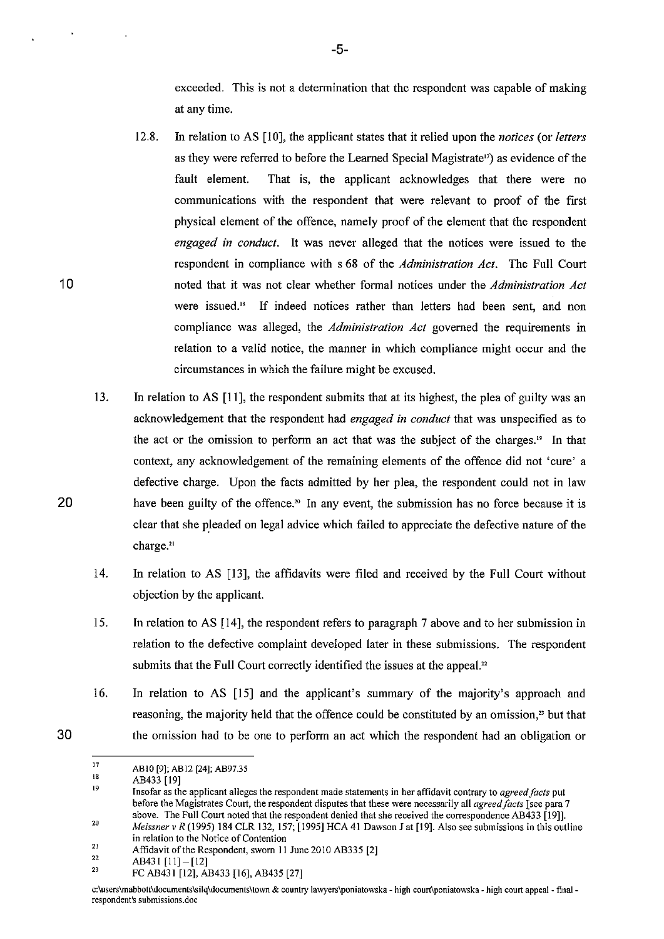exceeded. This is not a determination that the respondent was capable of making at any time.

- 12.8. In relation to AS [10], the applicant states that it relied upon the *notices* (or *letters*  as they were referred to before the Learned Special Magistrate<sup>17</sup>) as evidence of the fault element. That is, the applicant acknowledges that there were no communications with the respondent that were relevant to proof of the first physical element of the offence, namely proof of the element that the respondent *engaged in conduct.* It was never alleged that the notices were issued to the respondent in compliance with s 68 of the *Administration Act.* The Full Court noted that it was not clear whether formal notices under the *Administration Act*  were issued.<sup>18</sup> If indeed notices rather than letters had been sent, and non compliance was alleged, the *Administration Act* governed the requirements in relation to a valid notice, the manner in which compliance might occur and the circumstances in which the failure might be excused.
- 13. In relation to AS [11], the respondent submits that at its highest, the plea of guilty was an acknowledgement that the respondent had *engaged in conduct* that was unspecified as to the act or the omission to perform an act that was the subject of the charges.<sup>19</sup> In that context, any acknowledgement of the remaining elements of the offence did not 'cure' a defective charge. Upon the facts admitted by her plea, the respondent could not in law have been guilty of the offence.<sup>20</sup> In any event, the submission has no force because it is clear that she pleaded on legal advice which failed to appreciate the defective nature of the charge.<sup>21</sup>
- 14. In relation to AS [13], the affidavits were filed and received by the Full Court without objection by the applicant.
- 15. In relation to AS [14], the respondent refers to paragraph 7 above and to her submission in relation to the defective complaint developed later in these submissions. The respondent submits that the Full Court correctly identified the issues at the appeal.<sup>22</sup>
- 16. In relation to AS [15] and the applicant's summary of the majority's approach and reasoning, the majority held that the offence could be constituted by an omission," but that the omission had to be one to perform an act which the respondent had an obligation or

-5-

30

20

<sup>17</sup>  ABIO [9]; AB12 [24]; AB97.35

IS AB433 [19]

<sup>19</sup>  20 **Insofar as the applicant alleges the respondent made statements in her affidavit contrary to** *agreed/acts* **put before the Magistrates Court, the respondent disputes that these were necessarily all** *agreed/acts* **[see para 7 above. The Full Court noted that the respondent denied that she received the correspondence AB433 [19]],** 

<sup>21</sup>  *Meissner v R* (1995) 184 CLR 132. 157; [1995] HCA 41 Dawson J at [19]. Also see submissions in this outline **in relation to the Notice of Contention** 

<sup>22</sup>  Affidavit of the Respondent. sworn I1 June 2010 AB335 [2]

AB431 [11]-[12]

<sup>2</sup>J FC AB431 [12]. AB433 [16]. AB435 [27]

**c:\users\mabbott\documents\Silq\documents\town & country lawyers\poniatowska - high court\poniatowska - high court appeal- finalrespondent's submissions.doe**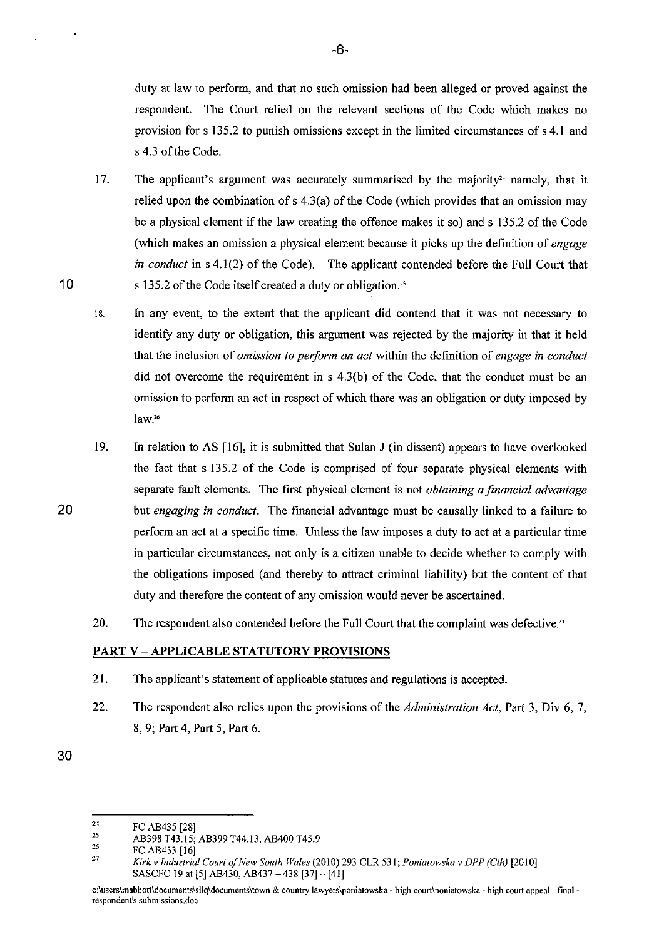duty at law to perform, and that no such omission had been alleged or proved against the respondent. The Court relied on the relevant sections of the Code which makes no provision for s 135.2 to punish omissions except in the limited circumstances of s 4.1 and s 4.3 of the Code.

- 17. The applicant's argument was accurately summarised by the majority<sup>24</sup> namely, that it relied upon the combination of s 4.3(a) of the Code (which provides that an omission may be a physical element if the law creating the offence makes it so) and s 135.2 of the Code (which makes an omission a physical element because it picks up the definition of *engage in conduct* in s 4.1(2) of the Code). The applicant contended before the Full Court that s 135.2 of the Code itself created a duty or obligation.<sup>25</sup>
- 18. In any event, to the extent that the applicant did contend that it was not necessary to identify any duty or obligation, this argument was rejected by the majority in that it held that the inclusion of *omission to perform an act* within the definition of *engage in conduct*  did not overcome the requirement in s 4.3(b) of the Code, that the conduct must be an omission to perform an act in respect of which there was an obligation or duty imposed by **law. <sup>26</sup>**
- 19. In relation to AS [16], it is submitted that Sulan J (in dissent) appears to have overlooked the fact that s 135.2 of the Code is comprised of four separate physical elements with separate fault elements. The first physical element is not *obtaining a financial advantage*  but *engaging in conduct.* The financial advantage must be causally linked to a failure to perform an act at a specific time. Unless the law imposes a duty to act at a particular time in particular circumstances, not only is a citizen unable to decide whether to comply with the obligations imposed (and thereby to attract criminal liability) but the content of that duty and therefore the content of any omission would never be ascertained.
- 20. The respondent also contended before the Full Court that the complaint was defective.<sup>27</sup>

### **PART** V - **APPLICABLE STATUTORY PROVISIONS**

- 21. The applicant's statement of applicable statutes and regulations is accepted.
- 22. The respondent also relies upon the provisions of the *Administration Act,* Part 3, Div 6, 7, 8, 9; Part 4, Part 5, Part 6.

-6-

20

<sup>30</sup> 

<sup>24</sup>  FC AB435 [28]

<sup>2</sup>S 26 AB398 T43.15; AB399 *T44.13,* AB400 *T45.9* 

<sup>27</sup>  FC AB433 [16]

*Kirk* v *Industrial Caurt of New South Wales* (2010) 293 CLR 531; *Poniatowska* v *DPP (Cth) [2010]*  SASCFC 19 at [5] AB430, AB437 - 438 [37] - [41]

**c:\users\mabbott\documents\silq\documents\town & country lawyers\poniatowska** ~ **high court\poniatowska - high court appeal - final respondent's submissions.doe**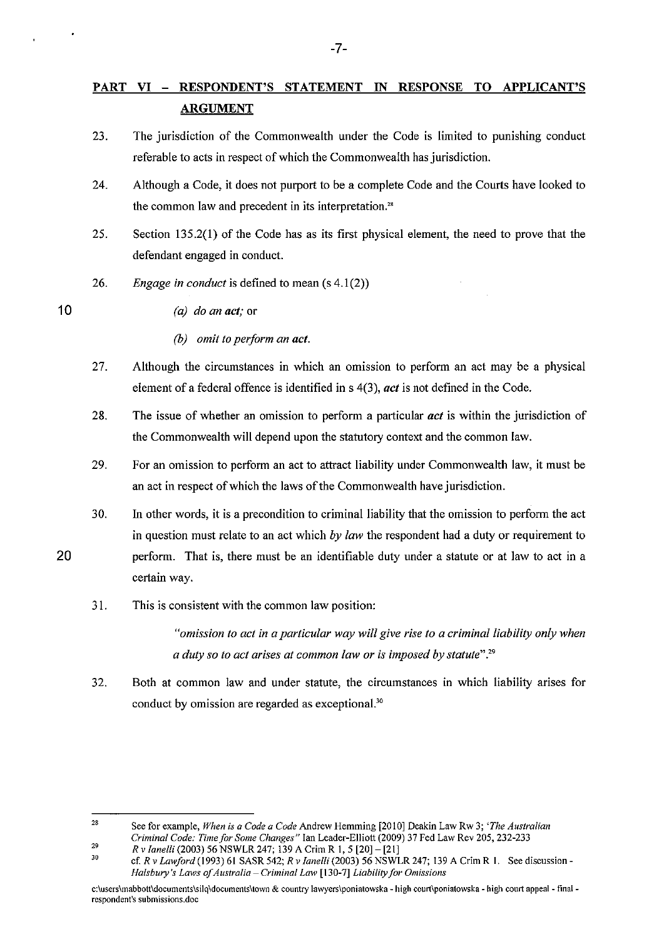## **PART VI - RESPONDENT'S STATEMENT IN RESPONSE TO APPLICANT'S ARGUMENT**

- 23. The jurisdiction of the Commonwealth under the Code is limited to punishing conduct referable to acts in respect of which the Commonwealth has jurisdiction.
- 24. Although a Code, it does not purport to be a complete Code and the Courts have looked to the common law and precedent in its interpretation.<sup>28</sup>
- 25. Section 135.2(1) of the Code has as its first physical element, the need to prove that the defendant engaged in conduct.
- 26. *Engage in conduct* is defined to mean (s 4.1(2»
- 10

*(a) do an act;* or

- *(b) omit to perform an act.*
- 27. Although the circumstances in which an omission to perform an act may be a physical element of a federal offence is identified in s 4(3), *act* is not defined in the Code.
- 28. The issue of whether an omission to perform a particular *act* is within the jurisdiction of the Commonwealth will depend upon the statutory context and the common law.
- 29. For an omission to perform an act to attract liability under Commonwealth law, it must be an act in respect of which the laws of the Commonwealth have jurisdiction.
- 30. In other words, it is a precondition to criminal liability that the omission to perform the act in question must relate to an act which *by law* the respondent had a duty or requirement to perform. That is, there must be an identifiable duty under a statute or at law to act in a certain way.

### 31. This is consistent with the common law position:

*"omission to act in a particular way will give rise to a criminal liability only when a duty so to act arises at common law or* is *imposed by statute".29* 

32. Both at common law and under statute, the circumstances in which liability arises for conduct by omission are regarded as exceptional.<sup>30</sup>

28 29 **See for example,** *When is a Code a Code* **Andrew Hemming [2010] Deakin Law Rw 3;** *'The Australian Criminal Code: Time for Some Changes"* Ian Leader-Elliott (2009) 37 Fed Law Rev 205, 232-233

*Rv Janelli* (2003) 56 NSWLR 247; 139 A Crim R I, 5 [20]- [21]

<sup>30</sup>  cf. *Rv LawJord* (1993) 61 SASR 542; *Rv Janelli* (2003) 56 NSWLR 247; 139 A Crim R I. See discussion-*Halsbury's Laws of Australia* **-** *Criminal Law* **[130-7]** *Liability for Omissions* 

**c:\users\mabbott\documents\silq\documents\town & country lawyers\poniatowska - high court\poniatowska - high court appeal- final respondent's submissions.doe**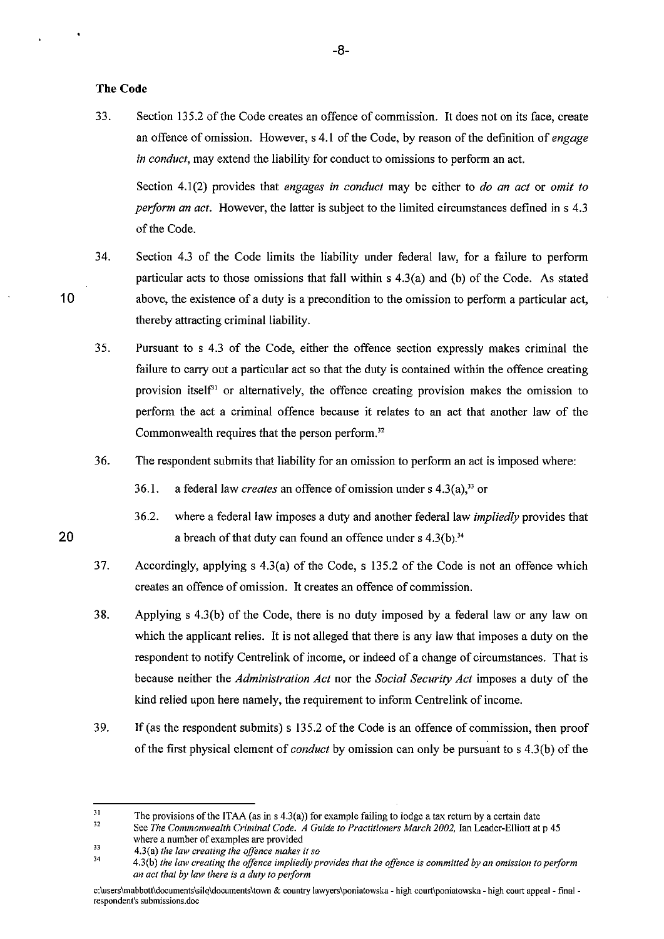#### **The Code**

33. Section 135.2 of the Code creates an offence of commission. It does not on its face, create an offence of omission. However, s 4.1 of the Code, by reason of the definition of *engage in conduct*, may extend the liability for conduct to omissions to perform an act.

Section 4.1 (2) provides that *engages in conduct* may be either to *do an act* or *omit to perform an act.* However, the latter is subject to the limited circumstances defined in s 4.3 of the Code.

- 34. Section 4.3 of the Code limits the liability under federal law, for a failure to perform particular acts to those omissions that fall within s 4.3(a) and (b) of the Code. As stated above, the existence of a duty is a precondition to the omission to perform a particular act, thereby attracting criminal liability.
	- 35. Pursuant to s 4.3 of the Code, either the offence section expressly makes criminal the failure to carry out a particular act so that the duty is contained within the offence creating provision itself<sup>31</sup> or alternatively, the offence creating provision makes the omission to perform the act a criminal offence because it relates to an act that another law of the Commonwealth requires that the person perform.<sup>32</sup>
	- 36. The respondent submits that liability for an omission to perform an act is imposed where:
		- 36.1. a federal law *creates* an offence of omission under s  $4.3(a)$ ,<sup>33</sup> or
- 36.2. where a federal law imposes a duty and another federal law *impliedly* provides that 20 **a** breach of that duty can found an offence under s  $4.3(b).^{34}$ 
	- 37. Accordingly, applying s 4.3(a) of the Code, s 135.2 of the Code is not an offence which creates an offence of omission. It creates an offence of commission.
	- 38. Applying s 4.3(b) of the Code, there is no duty imposed by a federal law or any law on which the applicant relies. It is not alleged that there is any law that imposes a duty on the respondent to notify Centrelink of income, or indeed of a change of circumstances. That is because neither the *Administration Act* nor the *Social Security Act* imposes a duty of the kind relied upon here namely, the requirement to inform Centrelink of income.
	- 39. If (as the respondent submits) s 135.2 of the Code is an offence of commission, then proof of the first physical element of *conduct* by omission can only be pursuant to s 4.3(b) ofthe

<sup>31</sup>  The provisions of the ITAA (as in  $s$  4.3(a)) for example failing to lodge a tax return by a certain date

<sup>32</sup>  33 **See** *The Commonwealth Criminal Code. A Guide to Practitioners March 2002,* **lan Leader-Elliott at p 45 where a number of examples are provided** 

<sup>34</sup>  **4.3(a)** *the law creating the offence makes it so* 

**<sup>4.3(</sup>b)** *the law creating the offence impliedly provides that the offence is committed by an omission to perform an act that by law there is a duty to perform* 

c:\users\mabbott\documents\silq\documents\town & country lawyers\poniatowska - high court\poniatowska - high court appeal - final **respondent's submissions.doe**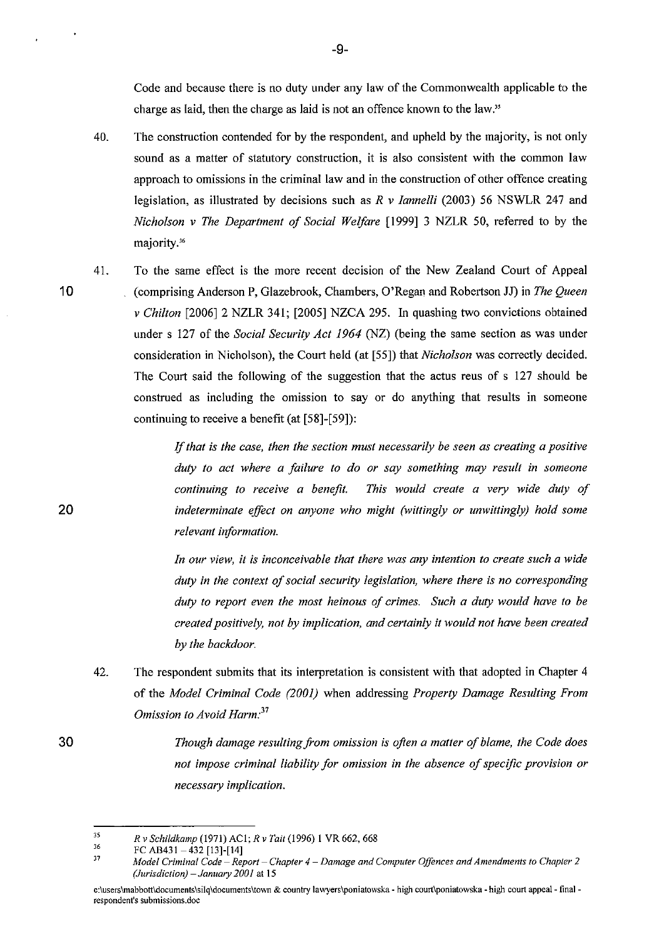Code and because there is no duty under any law of the Commonwealth applicable to the charge as laid, then the charge as laid is not an offence known to the law."

- 40. The construction contended for by the respondent, and upheld by the majority, is not only sound as a matter of statutory construction, it is also consistent with the common law approach to omissions in the criminal law and in the consttuction of other offence creating legislation, as illustrated by decisions such as *R v Iannelli* (2003) 56 NSWLR 247 and *Nicholson v The Department of Social Welfare* [1999] 3 NZLR 50, referred to by the majority.<sup>36</sup>
- 10

20

30

41. To the same effect is the more recent decision of the New Zealand Court of Appeal (comprising Anderson P, Glazebrook, Chambers, O'Regan and Robertson JJ) in *The Queen v Chilton* [2006] 2 NZLR 341; [2005] NZCA 295. In quashing two convictions obtained under s 127 of the *Social Security Act* 1964 (NZ) (being the same section as was under consideration in Nicholson), the Court held (at [55]) that *Nicholson* was correctly decided. The Court said the following of the suggestion that the actus reus of s 127 should be construed as including the omission to say or do anything that results in someone continuing to receive a benefit (at [58]-[59]):

> if *that is the case, then the section must necessarily be seen as creating a positive duty to act where a failure to do or say something may result in someone continuing to receive a benefit. This would create a very wide duty of indeterminate effect on anyone who might (wittingly or unwittingly) hold some relevant information.*

> *In our view, it is inconceivable that there was any intention to create such a wide duty in the context of social security legislation, where there is no corresponding duty to report even the most heinous of crimes. Such a duty would have to be created positively, not by implication, and certainly it would not have been created by the backdoor.*

- 42. The respondent submits that its interpretation is consistent with that adopted in Chapter 4 of the *Model Criminal Code (2001)* when addressing *Property Damage Resulting From Omission to Avoid Harm: <sup>37</sup>*
	- *Though damage resulting from omission* is *ofien a matter of blame, the Code does not impose criminal liability for omission in the absence of specific provision or necessary implication.*

<sup>35</sup>  *R* v *Schildkamp* (1971) AC 1; *R* v *Tail* (1996) 1 VR 662, 668

<sup>36</sup>  FC AB431  $-$ 432 [13]-[14]

<sup>37</sup>  *Model Criminal Code* **-** *Report* **-** *Chapter* **4 -** *Damage and Computer Offences and Amendments to Chapter 2 (Jurisdiction)* - *January 2001* at 15

**c:\users\mabbott\documents\silq\documents\town & country lawyers\poniatowska - high CQurt\poniatowska - high court appeal- final respondent's submissions.doe**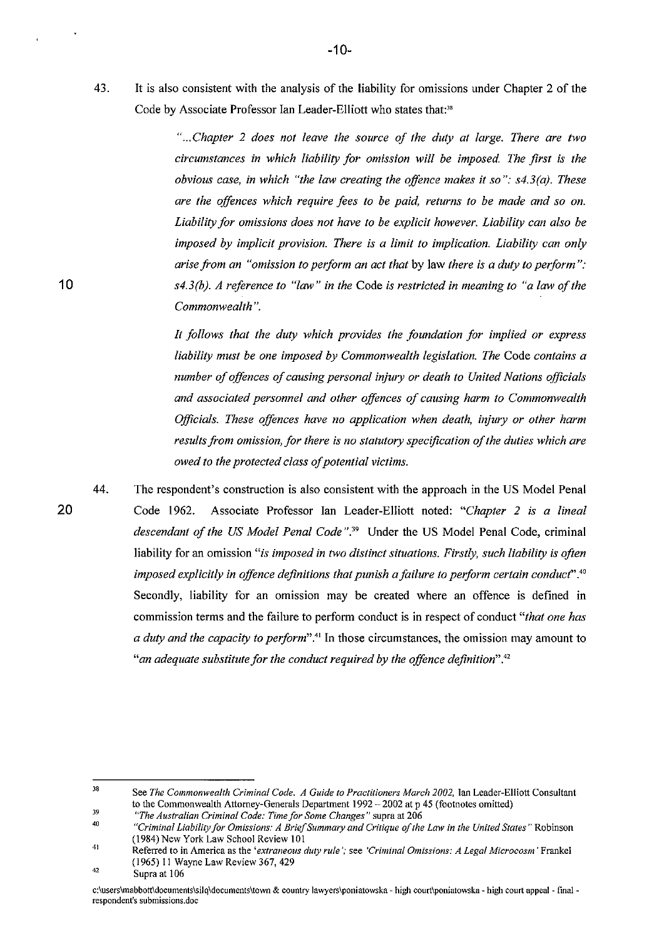43. It is also consistent with the analysis of the liability for omissions under Chapter 2 of the Code by Associate Professor Ian Leader-Elliott who states that:<sup>38</sup>

> " ... *Chapter* 2 *does not leave the source of the duty at large. There are two circumstances in which liability for omission will be imposed. The first is the obvious case, in which "the law creating the offence makes it so": s4.3(a}. These are the offences which require fees to be paid, returns to be made and so on. Liability for omissions does not have to be explicit however. Liability can also be imposed by implicit provision. There is a limit to implication. Liability can only arise from an "omission to perform an act that* by law *there is a duty to perform* ": *s4.3(b}. A reference to "law" in the* Code *is restricted in meaning to "a law of the Commonwealth* ".

> *It follows that the duty which provides the foundation for implied or express liability must be one imposed by Commonwealth legislation. The* Code *contains a number of offences of causing personal injury or death to United Nations officials and associated personnel and other offences of causing harm to Commonwealth Officials. These offences have no application when death, injury or other harm*  results from omission, for there is no statutory specification of the duties which are *owed to the protected class of potential victims.*

44. The respondent's construction is also consistent with the approach in the US Model Penal Code 1962. Associate Professor Ian Leader-Elliott noted: *"Chapter* 2 is *a lineal descendant of the US Model Penal Code* ".39 Under the US Model Penal Code, criminal liability for an omission "is imposed in two distinct situations. Firstly, such liability is often *imposed explicitly in offence definitions that punish afailure to perform certain conduct'.4O*  Secondly, liability for an omission may be created where an offence is defined in commission terms and the failure to perform conduct is in respect of conduct *"that one has a duty and the capacity to perform".'1* In those circumstances, the omission may amount to *"an adequate substitute for the conduct required by the offence definition"."* 

<sup>38</sup>  39 **See** *The Commonwealth Criminal Code. A Guide to Practitioners March 2002,* **Ian Leader-ElIiott Consultant**  to the Commonwealth Attorney-Generals Department 1992 - 2002 at p 45 (footnotes omitted)

*<sup>&</sup>quot;The Australian Criminal Code: Time for Some Changes"* **supra at 206** 

<sup>40</sup>  *"Criminal Liability for Omissions: A Brie/Summary and Critique a/the Law in the United States"* **Robinson**  (1984) New York Law School Review 101

<sup>41</sup>  **Referred to in America as the** *'extraneous duty rule* **'; see** *'Criminal Omissions: A Legal Microcosm'* **Frankel**  (1965) 11 Wayne Law Review 367,429

<sup>42</sup>  Supra at 106

**c:\users\mabbott\documents\Silq\documents\town & country lawyers\poniatowska - high CQurt\poniatowska - high court appeal - final respondent's submissions.doe**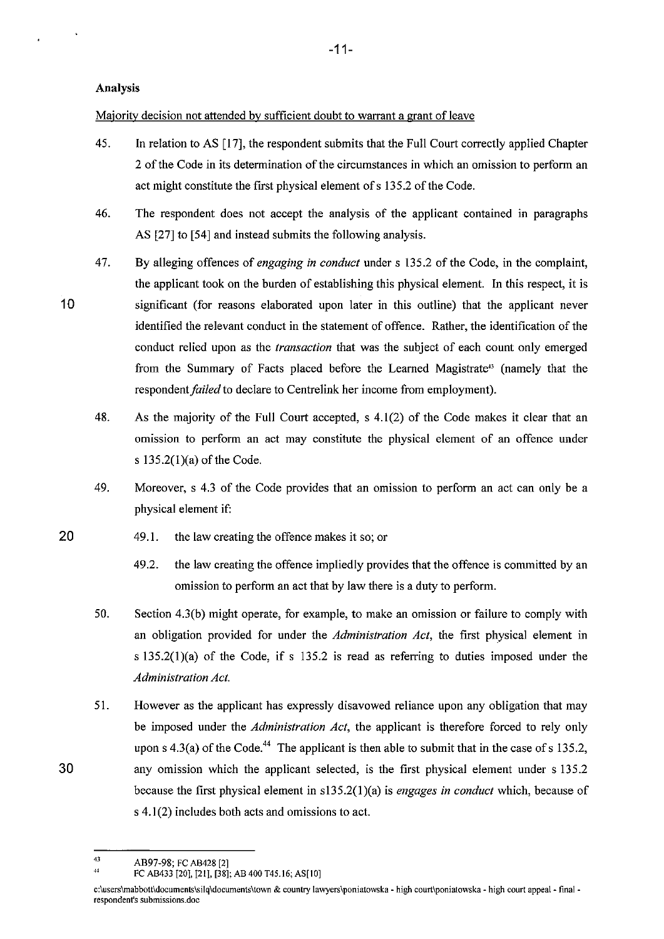### Analysis

10

30

Majority decision not attended by sufficient doubt to warrant a grant of leave

- 45. In relation to AS [17], the respondent submits that the Full Court correctly applied Chapter 2 of the Code in its determination of the circumstances in which an omission to perform an act might constitute the first physical element of s 135.2 of the Code.
- 46. The respondent does not accept the analysis of the applicant contained in paragraphs AS [27] to [54] and instead submits the following analysis.
- 47. By alleging offences of *engaging in conduct* under s 135.2 of the Code, in the complaint, the applicant took on the burden of establishing this physical element. In this respect, it is significant (for reasons elaborated upon later in this outline) that the applicant never identified the relevant conduct in the statement of offence. Rather, the identification of the conduct relied upon as the *transaction* that was the subject of each count only emerged from the Summary of Facts placed before the Learned Magistrate<sup>13</sup> (namely that the respondent *failed* to declare to Centrelink her income from employment).
	- 48. As the majority of the Full Court accepted, s 4.1(2) of the Code makes it clear that an omission to perform an act may constitute the physical element of an offence under s 135.2(1)(a) of the Code.
	- 49. Moreover, s 4.3 of the Code provides that an omission to perform an act can only be a physical element if:
- 20 49.1. the law creating the offence makes it so; or
	- 49.2. the law creating the offence impliedly provides that the offence is committed by an omission to perform an act that by law there is a duty to perform.
	- 50. Section 4.3(b) might operate, for example, to make an omission or failure to comply with an obligation provided for under the *Administration Act,* the first physical element in s 135.2(1)(a) of the Code, if s 135.2 is read as referring to duties imposed under the *Administration Act.*
	- 51. However as the applicant has expressly disavowed reliance upon any obligation that may be imposed under the *Administration Act,* the applicant is therefore forced to rely only upon s  $4.3(a)$  of the Code.<sup>44</sup> The applicant is then able to submit that in the case of s 135.2, any omission which the applicant selected, is the first physical element under s 135.2 because the first physical element in sI35.2(1)(a) is *engages in conduct* which, because of  $s$  4.1(2) includes both acts and omissions to act.

<sup>43</sup>   $+$  AB97-98; FC AB428 [2]

FC AB433 [20], [21], [38]; AB 400 T45.16; AS[IO]

c:\users\mabbott\documents\silq\documents\town & country lawyers\poniatowska - high court\poniatowska - high court appeal - final **respondent's submissions.doe**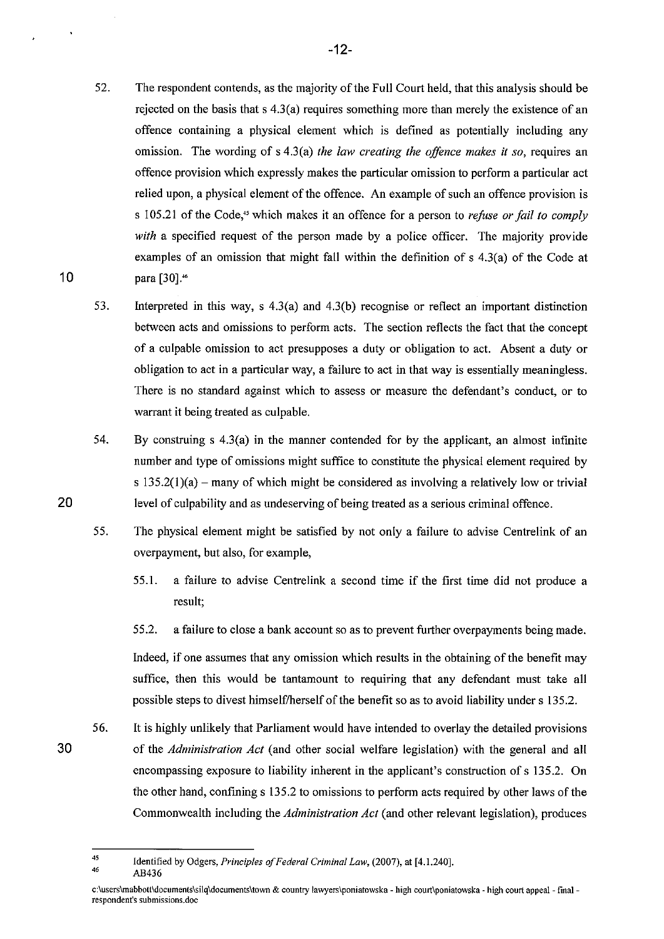- 52. The respondent contends, as the majority of the Full Court held, that this analysis should be rejected on the basis that  $s(4.3(a))$  requires something more than merely the existence of an offence containing a physical element which is defined as potentially including any omission. The wording of s 4.3(a) *the law creating the offence makes it so,* requires an offence provision which expressly makes the particular omission to perform a particular act relied upon, a physical element of the offence. An example of such an offence provision is s 105.21 ofthe Code," which makes it an offence for a person to *refuse or fail to comply*  with a specified request of the person made by a police officer. The majority provide examples of an omission that might fall within the definition of  $s$  4.3(a) of the Code at para [30].<sup>46</sup>
- 53. Interpreted in this way, s 4.3(a) and 4.3(b) recognise or reflect an important distinction between acts and omissions to perform acts. The section reflects the fact that the concept of a culpable omission to act presupposes a duty or obligation to act. Absent a duty or obligation to act in a particular way, a failure to act in that way is essentially meaningless. There is no standard against which to assess or measure the defendant's conduct, or to warrant it being treated as culpable.
- 54. By construing s 4.3(a) in the manner contended for by the applicant, an almost infinite number and type of omissions might suffice to constitute the physical element required by s  $135.2(1)(a)$  – many of which might be considered as involving a relatively low or trivial level of culpability and as undeserving of being treated as a serious criminal offence.
- 55. The physical element might be satisfied by not only a failure to advise Centrelink of an overpayment, but also, for example,
	- 55.1. a failure to advise Centrelink a second time if the first time did not produce a result;

55.2. a failure to close a bank account so as to prevent further overpayments being made.

Indeed, if one assumes that any omission which results in the obtaining of the benefit may suffice, then this would be tantamount to requiring that any defendant must take all possible steps to divest himself/herself of the benefit so as to avoid liability under s 135.2.

Commonwealth including the *Administration Act* (and other relevant legislation), produces

56. It is highly unlikely that Parliament would have intended to overlay the detailed provisions of the *Administration Act* (and other social welfare legislation) with the general and all encompassing exposure to liability inherent in the applicant's construction of s 135.2. On the other hand, confining s 135.2 to omissions to perform acts required by other laws of the

30

<sup>45</sup>  46 Identified by Odgers. *Principles of Federal Criminal Law,* (2007), at [4.1.240]. AB436

c:\users\mabbott\documents\silq\documents\town & country lawyers\poniatowska - high court\poniatowska - high court appeal - final **respondent's submissions.doc**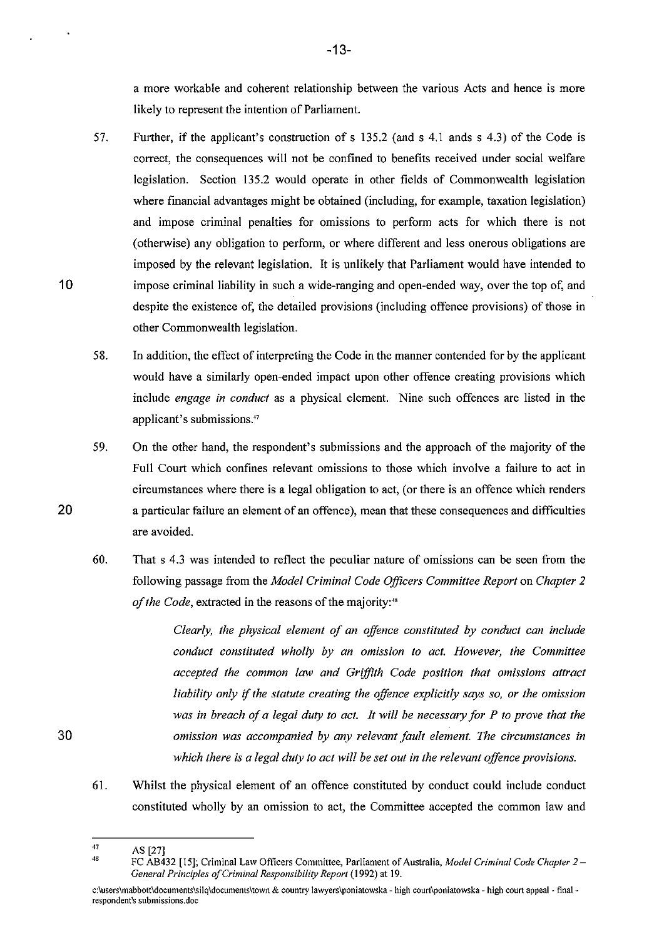a more workable and coherent relationship between the various Acts and hence is more likely to represent the intention of Parliament.

- 57. Further, if the applicant's construction of s 135.2 (and s 4.1 ands s 4.3) of the Code is correct, the consequences will not be confined to benefits received under social welfare legislation. Section 135.2 would operate in other fields of Commonwealth legislation where financial advantages might be obtained (including, for example, taxation legislation) and impose criminal penalties for omissions to perform acts for which there is not (otherwise) any obligation to perform, or where different and less onerous obligations are imposed by the relevant legislation. It is unlikely that Parliament would have intended to impose criminal liability in such a wide-ranging and open-ended way, over the top of, and despite the existence of, the detailed provisions (including offence provisions) of those in other Commonwealth legislation.
- 58. In addition, the effect of interpreting the Code in the manner contended for by the applicant would have a similarly open-ended impact upon other offence creating provisions which include *engage in conduct* as a physical element. Nine such offences are listed in the applicant's submissions."
- 59. On the other hand, the respondent's submissions and the approach of the majority of the Full Court which confines relevant omissions to those which involve a failure to act in circumstances where there is a legal obligation to act, (or there is an offence which renders a particular failure an element of an offence), mean that these consequences and difficulties are avoided.
- 60. That s 4.3 was intended to reflect the peculiar nature of omissions can be seen from the following passage from the *Model Criminal Code Officers Committee Report* on *Chapter 2 of the Code,* extracted in the reasons of the majority:"

*Clearly, the physical element of an offence constituted by conduct can include conduct constituted wholly by an omission to act. However, the Committee accepted the common law and Griffith Code position that omissions attract liability only* if *the statute creating the offence explicitly says so, or the omission was in breach of a legal duty to act. It will be necessary for P to prove that the omission was accompanied by any relevant fault element. The circumstances in which there is a legal duty to act will be set out in the relevant offence provisions.* 

61. Whilst the physical element of an offence constituted by conduct could include conduct constituted wholly by an omission to act, the Committee accepted the common law and

20

<sup>47</sup>  48 AS [27]

FC AB432 [15]; Criminal Law Officers Committee, Parliament of Australia, *Model Criminal Code Chapter* 2 - *General Principles a/Criminal Responsibility Report* **(1992) at 19.** 

**c:\users\mabbott\documents\Silq\documents\town & country lawyers\poniatowska - high court\poniatowska - high court appeal - finalrespondent's** submissions. doe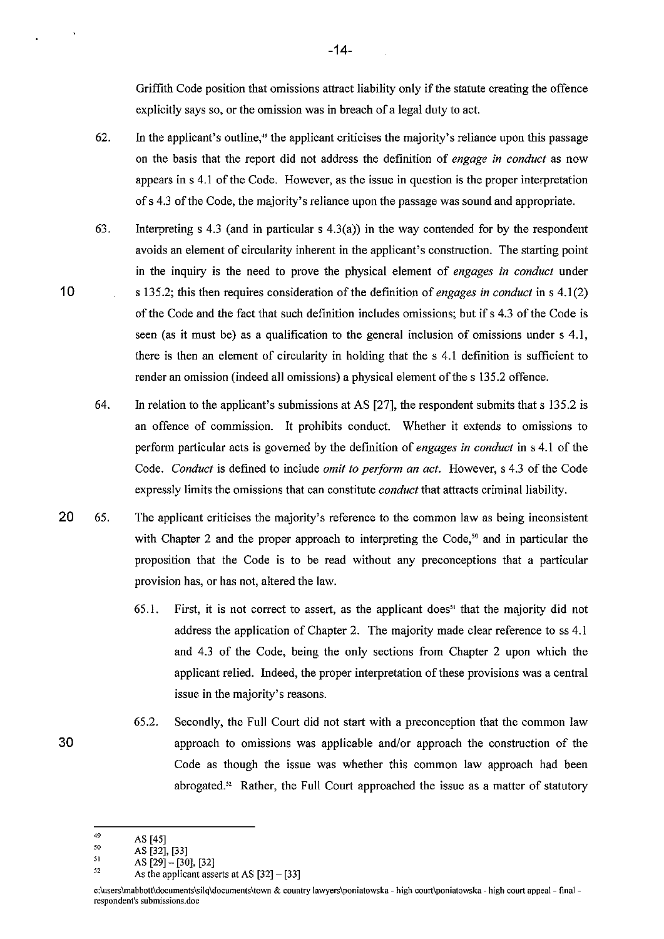Griffith Code position that omissions attract liability only if the statute creating the offence explicitly says so, or the omission was in breach of a legal duty to act.

- 62. In the applicant's outline,<sup> $\alpha$ </sup> the applicant criticises the majority's reliance upon this passage on the basis that the report did not address the definition of *engage in conduct* as now appears in s 4.1 of the Code. However, as the issue in question is the proper interpretation of s 4.3 of the Code, the majority's reliance upon the passage was sound and appropriate.
- 63. Interpreting s 4.3 (and in particular s  $4.3(a)$ ) in the way contended for by the respondent avoids an element of circularity inherent in the applicant's construction. The starting point in the inquiry is the need to prove the physical element of *engages in conduct* under s 135.2; this then requires consideration of the definition of *engages in conduct* in s 4.1(2) of the Code and the fact that such definition includes omissions; but if s 4.3 of the Code is seen (as it must be) as a qualification to the general inclusion of omissions under s 4.1, there is then an element of circularity in holding that the s 4.1 definition is sufficient to render an omission (indeed all omissions) a physical element of the s 135.2 offence.
- 64. In relation to the applicant's submissions at AS [27], the respondent submits that s 135.2 is an offence of commission. It prohibits conduct. Whether it extends to omissions to perform particular acts is governed by the definition of *engages in conduct* in s 4.1 of the Code. *Conduct* is defined to include *omit to perform an act.* However, s 4.3 of the Code expressly limits the omissions that can constitute *conduct* that attracts criminal liability.
- 20 65. The applicant criticises the majority's reference to the common law as being inconsistent with Chapter 2 and the proper approach to interpreting the Code,<sup>50</sup> and in particular the proposition that the Code is to be read without any preconceptions that a particular provision has, or has not, altered the law.
	- 65.1. First, it is not correct to assert, as the applicant does" that the majority did not address the application of Chapter 2. The majority made clear reference to ss 4.1 and 4.3 of the Code, being the only sections from Chapter 2 upon which the applicant relied. Indeed, the proper interpretation of these provisions was a central issue in the majority's reasons.
- 65.2. Secondly, the Full Court did not start with a preconception that the common law 30 approach to omissions was applicable and/or approach the construction of the Code as though the issue was whether this common law approach had been abrogated.<sup>52</sup> Rather, the Full Court approached the issue as a matter of statutory
	- 49 AS [45]

-14-

<sup>50</sup>  AS [32]. [33]

<sup>51</sup>  AS [29]- [30], [32]

<sup>52</sup>  As the applicant asserts at AS [32] - [33]

**c:\users\mabbott\documents\silq\documents\town & country Jawyers\poniatowska - high CQurt\poniatowska - high court appeal- final respondent's submissions.doc**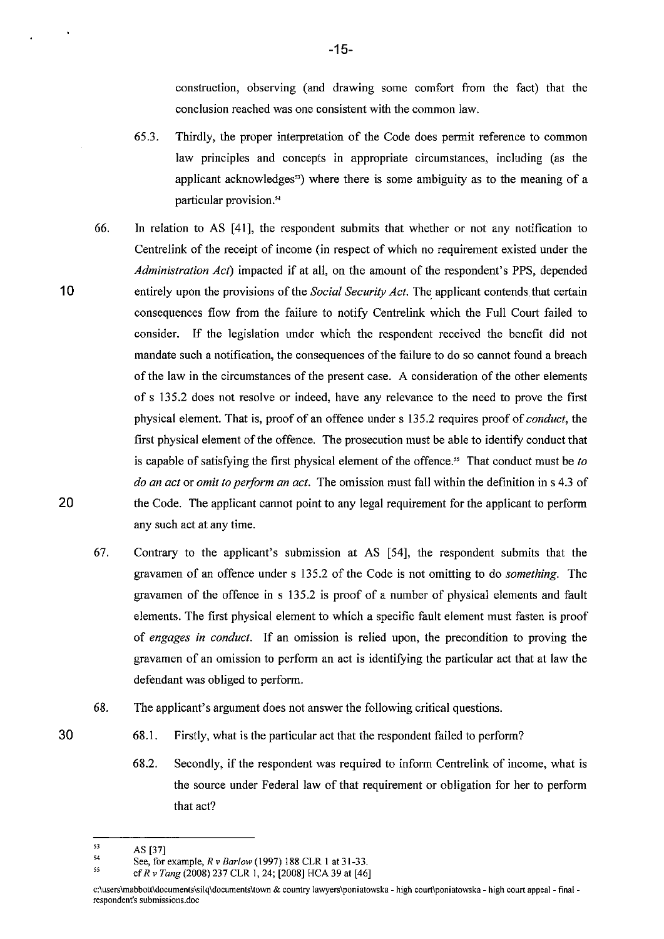construction, observing (and drawing some comfort from the fact) that the conclusion reached was one consistent with the common law.

- 65.3. Thirdly, the proper interpretation of the Code does permit reference to common law principles and concepts in appropriate circumstances, including (as the applicant acknowledges") where there is some ambiguity as to the meaning of a particular provision."
- 66. In relation to AS [4\], the respondent submits that whether or not any notification to Centrelink of the receipt of income (in respect of which no requirement existed under the *Administration Act)* impacted if at all, on the amount of the respondent's PPS, depended entirely upon the provisions of the *Social Security Act*. The applicant contends that certain consequences flow from the failure to notify Centrelink which the Full Court failed to consider. If the legislation under which the respondent received the benefit did not mandate such a notification, the consequences of the failure to do so cannot found a breach of the law in the circumstances of the present case. A consideration of the other elements of s 135.2 does not resolve or indeed, have any relevance to the need to prove the first physical element. That is, proof of an offence under s 135.2 requires proof of *conduct,* the first physical element of the offence. The prosecution must be able to identify conduct that is capable of satisfying the first physical element of the offence.<sup>35</sup> That conduct must be *to do an act* or *omit to perform an act.* The omission must fall within the definition in s 4.3 of the Code. The applicant cannot point to any legal requirement for the applicant to perform any such act at any time.
- 67. Contrary to the applicant's submission at AS [54], the respondent submits that the gravamen of an offence under s 135.2 of the Code is not omitting to do *something.* The gravamen of the offence in s 135.2 is proof of a number of physical elements and fault elements. The first physical element to which a specific fault element must fasten is proof of *engages in conduct.* If an omission is relied upon, the precondition to proving the gravamen of an omission to perform an act is identifying the particular act that at law the defendant was obliged to perform.
- 68. The applicant's argument does not answer the following critical questions.
	- 68.1. Firstly, what is the particular act that the respondent failed to perform?
		- 68.2. Secondly, if the respondent was required to inform Centrelink of income, what is the source under Federal law of that requirement or obligation for her to perform that act?

10

20

<sup>53</sup>  AS [37]

<sup>54</sup>  SS See, for example, *R* v *Barlow* (1997) 188 CLR 1 at 31-33.

ef *R* v *Tang* (2008) 237 CLR 1.24; [2008] HCA 39 at [46]

**c:\users\mabbott\documents\Silq\documents\town & country lawyers\poniatowska - high court\poniatowska - high court appeal - final respondent's submissions.doc**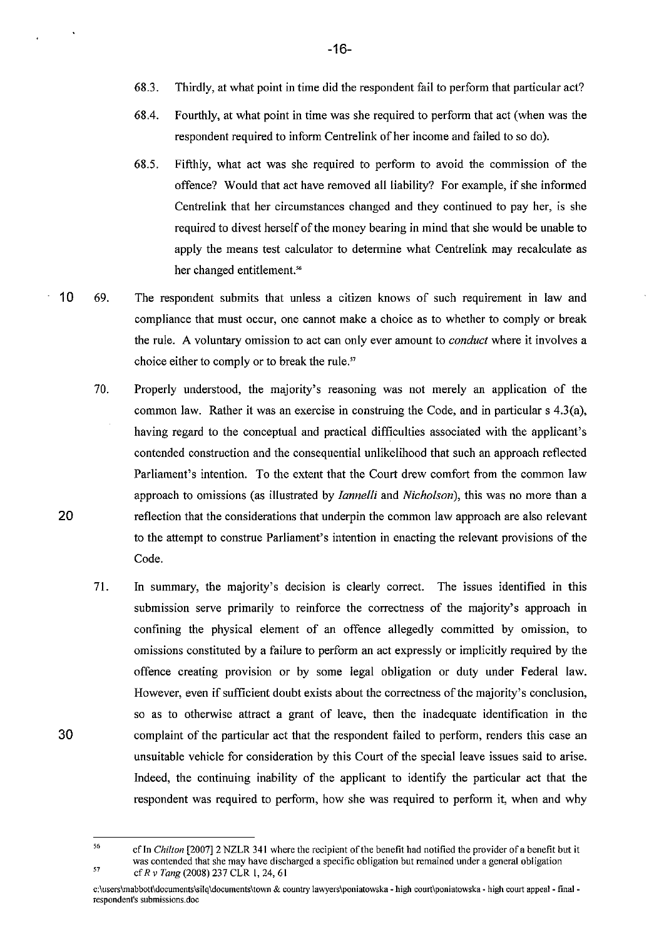- 68.3. Thirdly, at what point in time did the respondent fail to perform that particular act?
- 68.4. Fourthly, at what point in time was she required to perform that act (when was the respondent required to inform Centrelink of her income and failed to so do).
- *68.5.* Fifthly, what act was she required to perform to avoid the commission of the offence? Would that act have removed all liability? For example, if she informed Centrelink that her circumstances changed and they continued to pay her, is she required to divest herself of the money bearing in mind that she would be unable to apply the means test calculator to determine what Centrelink may recalculate as her changed entitlement.<sup>56</sup>
- 10 69. The respondent submits that unless a citizen knows of such requirement in law and compliance that must occur, one cannot make a choice as to whether to comply or break the rule. A voluntary omission to act can only ever amount to *conduct* where it involves a choice either to comply or to break the rule."
	- 70. Properly understood, the majority's reasoning was not merely an application of the common law. Rather it was an exercise in construing the Code, and in particular s 4.3(a), having regard to the conceptual and practical difficulties associated with the applicant's contended construction and the consequential unlikelihood that such an approach reflected Parliament's intention. To the extent that the Court drew comfort from the common law approach to omissions (as illustrated by *Iannelli* and *Nicholson),* this was no more than a reflection that the considerations that underpin the common law approach are also relevant to the attempt to construe Parliament's intention in enacting the relevant provisions of the Code.
	- 71. In summary, the majority's decision is clearly correct. The issues identified in this submission serve primarily to reinforce the correctness of the majority's approach in confining the physical element of an offence allegedly committed by omission, to omissions constituted by a failure to perform an act expressly or implicitly required by the offence creating provision or by some legal obligation or duty under Federal law. However, even if sufficient doubt exists about the correctness of the majority's conclusion, so as to otherwise attract a grant of leave, then the inadequate identification in the complaint of the particular act that the respondent failed to perform, renders this case an unsuitable vehicle for consideration by this Court of the special leave issues said to arise. Indeed, the continuing inability of the applicant to identify the particular act that the respondent was required to perform, how she was required to perform it, when and why

30

20

 $\mathcal{L}$ 

<sup>56</sup>  57 cfIn *Chilton* [2007]2 NZLR 341 where the recipient of the benefit had notified the provider ofa benefit but it **was contended that she may have discharged a specific obligation but remained under a general obligation**  cfRv Tang (2008) 237 CLR 1,24,61

**c:\users\mabbott\documents\Silq\documents\town & country lawyers\poniatowska - high court\poniatowska - high court appeal - final respondent's** submissions. doe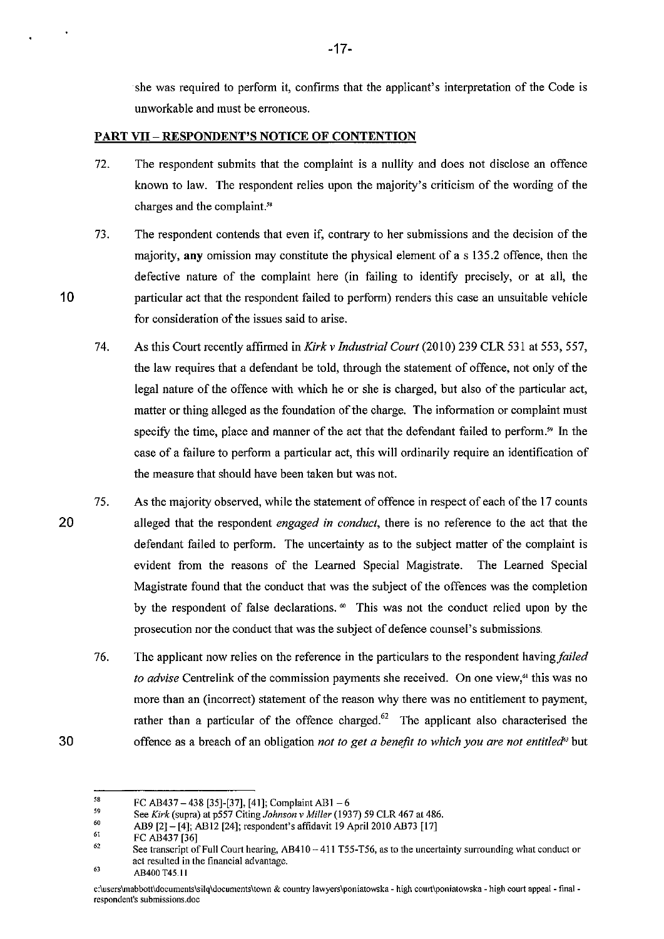she was required to perform it, confirms that the applicant's interpretation of the Code is unworkable and must be erroneous.

#### **PART VII** - RESPONDENT'S NOTICE **OF** CONTENTION

- 72. The respondent submits that the complaint is a nullity and does not disclose an offence known to law. The respondent relies upon the majority's criticism of the wording of the charges and the complaint.<sup>58</sup>
- 73. The respondent contends that even if, contrary to her submissions and the decision of the majority, any omission may constitute the physical element of as 135.2 offence, then the defective nature of the complaint here (in failing to identify precisely, or at all, the particular act that the respondent failed to perform) renders this case an unsuitable vehicle for consideration of the issues said to arise.
- 74. As this Court recently affirmed in *Kirk v Industrial Court* (2010) 239 CLR 531 at 553, 557, the law requires that a defendant be told, through the statement of offence, not only of the legal nature of the offence with which he or she is charged, but also of the particular act, matter or thing alleged as the foundation of the charge. The information or complaint must specify the time, place and manner of the act that the defendant failed to perform.<sup>59</sup> In the case of a failure to perform a particular act, this will ordinarily require an identification of the measure that should have been taken but was not.
- 20 75. As the majority observed, while the statement of offence in respect of each of the 17 counts alleged that the respondent *engaged in conduct,* there is no reference to the act that the defendant failed to perform. The uncertainty as to the subject matter of the complaint is evident from the reasons of the Learned Special Magistrate. The Learned Special Magistrate found that the conduct that was the subject of the offences was the completion by the respondent of false declarations.<sup>60</sup> This was not the conduct relied upon by the prosecution nor the conduct that was the subject of defence counsel's submissions.
	- 76. The applicant now relies on the reference in the particulars to the respondent *havingfailed to advise* Centrelink of the commission payments she received. On one view,<sup>61</sup> this was no more than an (incorrect) statement of the reason why there was no entitlement to payment, rather than a particular of the offence charged.<sup>62</sup> The applicant also characterised the offence as a breach of an obligation *not to get a benefit to which you are not entitled"* but

10

<sup>58</sup>  FC AB437 - 438 [35]-[37], [41]; Complaint AB1 - 6

<sup>59</sup> See *Kirk* (supra) at p557 Citing *Johnson* v *Miller* (1937) 59 CLR 467 at 486.

<sup>60</sup>  AB9 [2]- [4]; AB12 [24]; respondent's affidavit 19 April 2010 AB73 [17]

<sup>61</sup>  FC AB437 [36]

<sup>62</sup>  See transcript of Full Court hearing, AB410 - 411 T55-T56, as to the uncertainty surrounding what conduct or **act resulted in the financial advantage.** 

<sup>6</sup>l AB400 T4S.11

**c;\users\mabbott\documents\silq\documents\town & country lawyers\poniatowska - high court\poniatowska - high court appeal - finalrespondent's submissions.doe**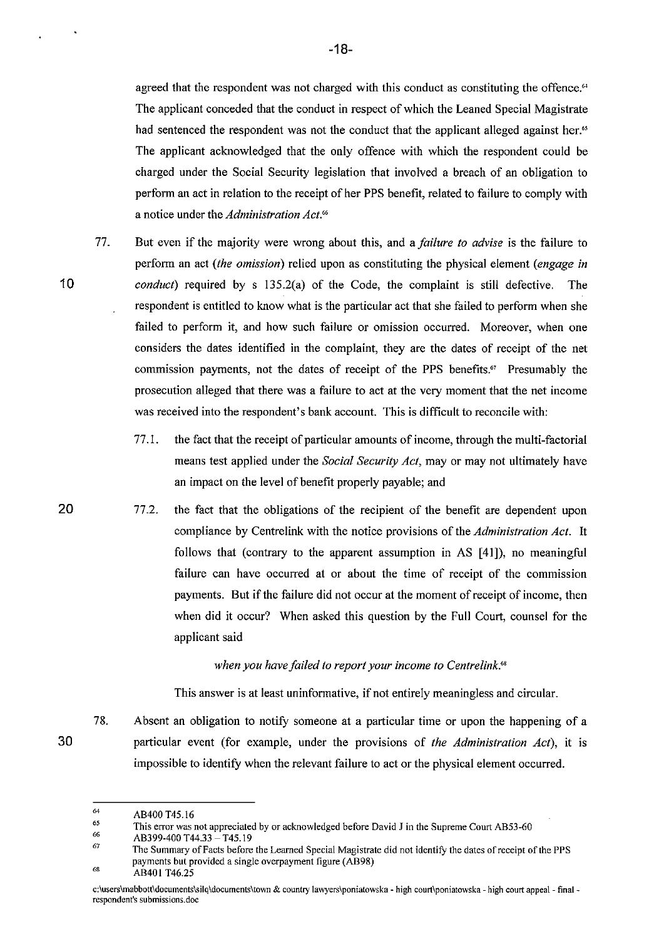agreed that the respondent was not charged with this conduct as constituting the offence.<sup>64</sup> The applicant conceded that the conduct in respect of which the Leaned Special Magistrate had sentenced the respondent was not the conduct that the applicant alleged against her.<sup>65</sup> The applicant acknowledged that the only offence with which the respondent could be charged under the Social Security legislation that involved a breach of an obligation to perfonn an act in relation to the receipt of her PPS benefit, related to failure to comply with a notice under the *Administration Act."* 

- 77. But even if the majority were wrong about this, and a *failure to advise* is the failure to perfonn an act *(the omission)* relied upon as constituting the physical element *(engage in conduct*) required by s 135.2(a) of the Code, the complaint is still defective. The respondent is entitled to know what is the particular act that she failed to perform when she failed to perform it, and how such failure or omission occurred. Moreover, when one considers the dates identified in the complaint, they are the dates of receipt of the net commission payments, not the dates of receipt of the PPS benefits." Presumably the prosecution alleged that there was a failure to act at the very moment that the net income was received into the respondent's bank account. This is difficult to reconcile with:
	- 77.1. the fact that the receipt of particular amounts of income, through the multi-factorial means test applied under the *Social Security Act*, may or may not ultimately have an impact on the level of benefit properly payable; and
- 77.2. the fact that the obligations of the recipient of the benefit are dependent upon compliance by Centrelink with the notice provisions of the *Administration Act.* It follows that (contrary to the apparent assumption in AS [41]), no meaningful failure can have occurred at or about the time of receipt of the commission payments. But if the failure did not occur at the moment of receipt of income, then when did it occur? When asked this question by the Full Court, counsel for the applicant said

### *when you have failed to report your income to Centrelink.'"*

This answer is at least uninfonnative, if not entirely meaningless and circular.

78. Absent an obligation to notify someone at a particular time or upon the happening of a particular event (for example, under the provisions of *the Administration Act),* it is impossible to identify when the relevant failure to act or the physical element occurred.

68 AB401 T46.25

30

<sup>64</sup>  AB400 T45.16

<sup>65</sup>  **This error was not appreciated by or acknowledged before David J in the Supreme Court AB53-60** 

<sup>66</sup>  AB399-400 T44.33 - T45.19

<sup>67</sup>  **The Summary** of Facts **before the Learned Special Magistrate did not identifY the dates** of receipt of the **PPS payments but provided a single overpayment figure (AB98)** 

c:\users\mabbott\documents\silq\documents\town & country lawyers\poniatowska - high court\poniatowska - high court appeal - final **respondent's** submissions. doe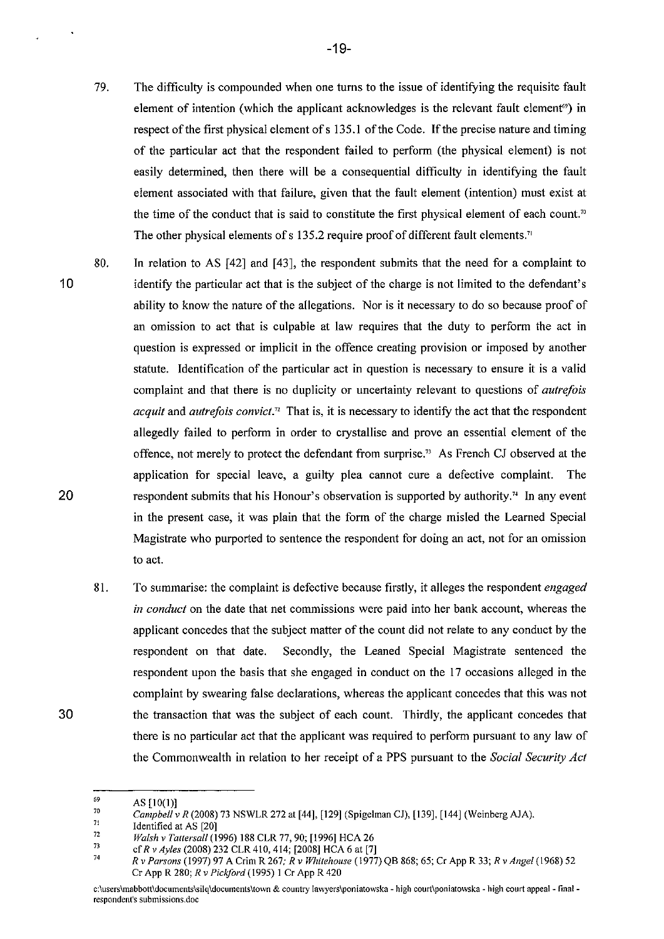79. The difficulty is compounded when one turns to the issue of identifying the requisite fault element of intention (which the applicant acknowledges is the relevant fault element<sup>®</sup>) in respect of the first physical element of s 135.1 of the Code. If the precise nature and timing of the particular act that the respondent failed to perform (the physical element) is not easily determined, then there will be a consequential difficulty in identifying the fault element associated with that failure, given that the fault element (intention) must exist at the time of the conduct that is said to constitute the first physical element of each count.<sup>70</sup> The other physical elements of s 135.2 require proof of different fault elements."

80. In relation to AS [42] and [43], the respondent submits that the need for a complaint to

- identifY the particular act that is the subject of the charge is not limited to the defendant's ability to know the nature of the allegations. Nor is it necessary to do so because proof of an omission to act that is culpable at law requires that the duty to perform the act in question is expressed or implicit in the offence creating provision or imposed by another statute. Identification of the particular act in question is necessary to ensure it is a valid complaint and that there is no duplicity or uncertainty relevant to questions of *autrefois acquit* and *autrefois convict*.<sup>*n*</sup> That is, it is necessary to identify the act that the respondent allegedly failed to perform in order to crystallise and prove an essential element of the offence, not merely to protect the defendant from surprise." As French CJ observed at the application for special leave, a guilty plea cannot cure a defective complaint. The respondent submits that his Honour's observation is supported by authority." In any event in the present case, it was plain that the form of the charge misled the Learned Special Magistrate who purported to sentence the respondent for doing an act, not for an omission
	- 81. To summarise: the complaint is defective because firstly, it alleges the respondent *engaged in conduct* on the date that net commissions were paid into her bank account, whereas the applicant concedes that the subject matter of the count did not relate to any conduct by the respondent on that date. Secondly, the Leaned Special Magistrate sentenced the respondent upon the basis that she engaged in conduct on the 17 occasions alleged in the complaint by swearing false declarations, whereas the applicant concedes that this was not the transaction that was the subject of each count. Thirdly, the applicant concedes that there is no particular act that the applicant was required to perform pursuant to any law of the Commonwealth in relation to her receipt of a PPS pursuant to the *Social Security Act*

71 Identified at AS [20]

to act.

10

20

<sup>69</sup>  AS [10(1)]

<sup>70</sup>  *Campbell* v *R* (2008) 73 NSWLR 272 at [44], [129] (Spigelman Cl), [139], [144] (Weinberg AlA).

<sup>72</sup>  *Walsh* v *Tattersall* (1996) 188 CLR 77, 90; [1996] HCA 26

<sup>7</sup>J 74 ef *Rv Ayles* (2008) 232 CLR 410, 414; [2008] HCA 6 at [7]

*R* v *Parsons* (1997) 97 A Crim R 267; *R* v *Whitehouse* (1977) QB 868; 65; Cr App R 33; *R* v *Angel* (1968) 52 Cr App R 280; *R* v *Pickford* (1995) 1 Cr App R 420

**c:\users\mabbott\documents\silq\documents\town & country lawyers\poniatowska - high court\poniatowska - high court appeal- final respondent's submissions.doe**